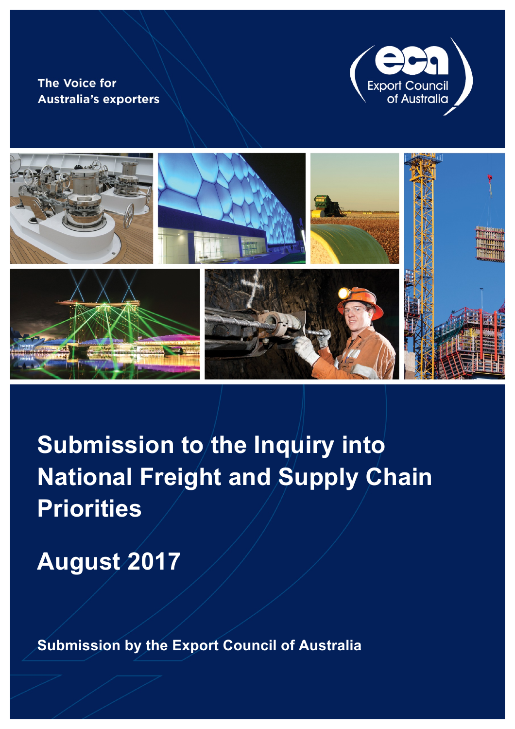# **The Voice for Australia's exporters**





**Submission to the Inquiry into National Freight and Supply Chain Priorities**

**August 2017** 

**Submission by the Export Council of Australia**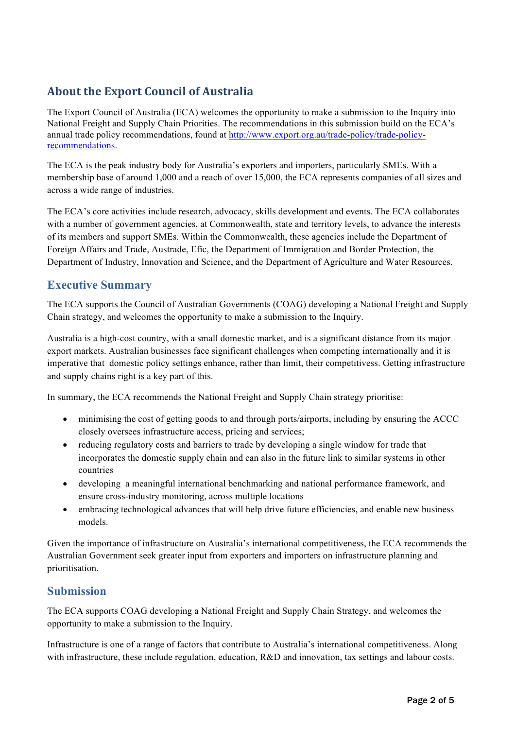## **About the Export Council of Australia**

The Export Council of Australia (ECA) welcomes the opportunity to make a submission to the Inquiry into National Freight and Supply Chain Priorities. The recommendations in this submission build on the ECA's annual trade policy recommendations, found at http://www.export.org.au/trade-policy/trade-policyrecommendations.

The ECA is the peak industry body for Australia's exporters and importers, particularly SMEs. With a membership base of around 1,000 and a reach of over 15,000, the ECA represents companies of all sizes and across a wide range of industries.

The ECA's core activities include research, advocacy, skills development and events. The ECA collaborates with a number of government agencies, at Commonwealth, state and territory levels, to advance the interests of its members and support SMEs. Within the Commonwealth, these agencies include the Department of Foreign Affairs and Trade, Austrade, Efic, the Department of Immigration and Border Protection, the Department of Industry, Innovation and Science, and the Department of Agriculture and Water Resources.

## **Executive Summary**

The ECA supports the Council of Australian Governments (COAG) developing a National Freight and Supply Chain strategy, and welcomes the opportunity to make a submission to the Inquiry.

Australia is a high-cost country, with a small domestic market, and is a significant distance from its major export markets. Australian businesses face significant challenges when competing internationally and it is imperative that domestic policy settings enhance, rather than limit, their competitivess. Getting infrastructure and supply chains right is a key part of this.

In summary, the ECA recommends the National Freight and Supply Chain strategy prioritise:

- minimising the cost of getting goods to and through ports/airports, including by ensuring the ACCC closely oversees infrastructure access, pricing and services;
- reducing regulatory costs and barriers to trade by developing a single window for trade that incorporates the domestic supply chain and can also in the future link to similar systems in other countries
- developing a meaningful international benchmarking and national performance framework, and ensure cross-industry monitoring, across multiple locations
- embracing technological advances that will help drive future efficiencies, and enable new business models.

Given the importance of infrastructure on Australia's international competitiveness, the ECA recommends the Australian Government seek greater input from exporters and importers on infrastructure planning and prioritisation.

## **Submission**

The ECA supports COAG developing a National Freight and Supply Chain Strategy, and welcomes the opportunity to make a submission to the Inquiry.

Infrastructure is one of a range of factors that contribute to Australia's international competitiveness. Along with infrastructure, these include regulation, education, R&D and innovation, tax settings and labour costs.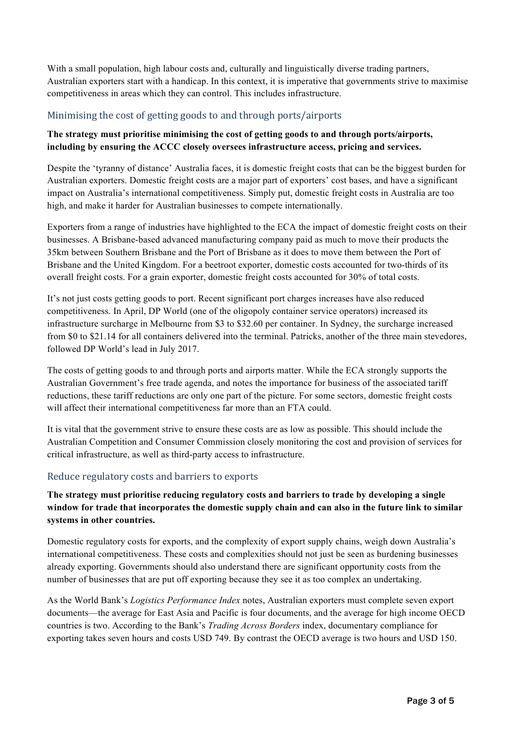With a small population, high labour costs and, culturally and linguistically diverse trading partners, Australian exporters start with a handicap. In this context, it is imperative that governments strive to maximise competitiveness in areas which they can control. This includes infrastructure.

#### Minimising the cost of getting goods to and through ports/airports

#### **The strategy must prioritise minimising the cost of getting goods to and through ports/airports, including by ensuring the ACCC closely oversees infrastructure access, pricing and services.**

Despite the 'tyranny of distance' Australia faces, it is domestic freight costs that can be the biggest burden for Australian exporters. Domestic freight costs are a major part of exporters' cost bases, and have a significant impact on Australia's international competitiveness. Simply put, domestic freight costs in Australia are too high, and make it harder for Australian businesses to compete internationally.

Exporters from a range of industries have highlighted to the ECA the impact of domestic freight costs on their businesses. A Brisbane-based advanced manufacturing company paid as much to move their products the 35km between Southern Brisbane and the Port of Brisbane as it does to move them between the Port of Brisbane and the United Kingdom. For a beetroot exporter, domestic costs accounted for two-thirds of its overall freight costs. For a grain exporter, domestic freight costs accounted for 30% of total costs.

It's not just costs getting goods to port. Recent significant port charges increases have also reduced competitiveness. In April, DP World (one of the oligopoly container service operators) increased its infrastructure surcharge in Melbourne from \$3 to \$32.60 per container. In Sydney, the surcharge increased from \$0 to \$21.14 for all containers delivered into the terminal. Patricks, another of the three main stevedores, followed DP World's lead in July 2017.

The costs of getting goods to and through ports and airports matter. While the ECA strongly supports the Australian Government's free trade agenda, and notes the importance for business of the associated tariff reductions, these tariff reductions are only one part of the picture. For some sectors, domestic freight costs will affect their international competitiveness far more than an FTA could.

It is vital that the government strive to ensure these costs are as low as possible. This should include the Australian Competition and Consumer Commission closely monitoring the cost and provision of services for critical infrastructure, as well as third-party access to infrastructure.

#### Reduce regulatory costs and barriers to exports

#### **The strategy must prioritise reducing regulatory costs and barriers to trade by developing a single window for trade that incorporates the domestic supply chain and can also in the future link to similar systems in other countries.**

Domestic regulatory costs for exports, and the complexity of export supply chains, weigh down Australia's international competitiveness. These costs and complexities should not just be seen as burdening businesses already exporting. Governments should also understand there are significant opportunity costs from the number of businesses that are put off exporting because they see it as too complex an undertaking.

As the World Bank's *Logistics Performance Index* notes, Australian exporters must complete seven export documents—the average for East Asia and Pacific is four documents, and the average for high income OECD countries is two. According to the Bank's *Trading Across Borders* index, documentary compliance for exporting takes seven hours and costs USD 749. By contrast the OECD average is two hours and USD 150.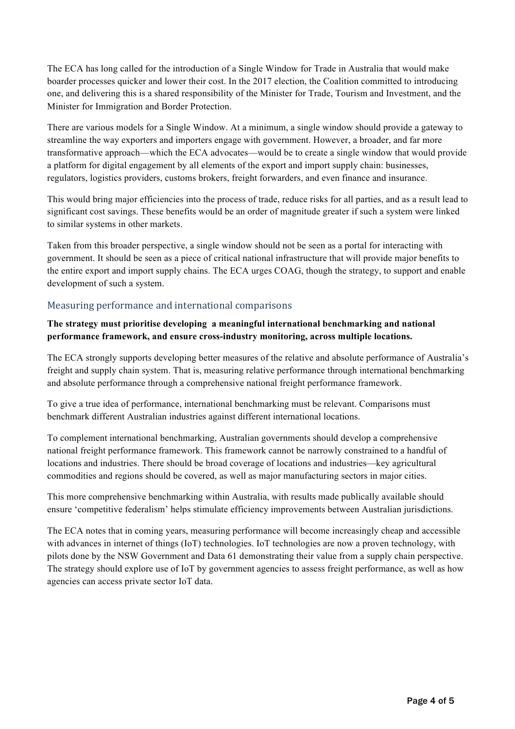The ECA has long called for the introduction of a Single Window for Trade in Australia that would make boarder processes quicker and lower their cost. In the 2017 election, the Coalition committed to introducing one, and delivering this is a shared responsibility of the Minister for Trade, Tourism and Investment, and the Minister for Immigration and Border Protection.

There are various models for a Single Window. At a minimum, a single window should provide a gateway to streamline the way exporters and importers engage with government. However, a broader, and far more transformative approach—which the ECA advocates—would be to create a single window that would provide a platform for digital engagement by all elements of the export and import supply chain: businesses, regulators, logistics providers, customs brokers, freight forwarders, and even finance and insurance.

This would bring major efficiencies into the process of trade, reduce risks for all parties, and as a result lead to significant cost savings. These benefits would be an order of magnitude greater if such a system were linked to similar systems in other markets.

Taken from this broader perspective, a single window should not be seen as a portal for interacting with government. It should be seen as a piece of critical national infrastructure that will provide major benefits to the entire export and import supply chains. The ECA urges COAG, though the strategy, to support and enable development of such a system.

#### Measuring performance and international comparisons

#### **The strategy must prioritise developing a meaningful international benchmarking and national performance framework, and ensure cross-industry monitoring, across multiple locations.**

The ECA strongly supports developing better measures of the relative and absolute performance of Australia's freight and supply chain system. That is, measuring relative performance through international benchmarking and absolute performance through a comprehensive national freight performance framework.

To give a true idea of performance, international benchmarking must be relevant. Comparisons must benchmark different Australian industries against different international locations.

To complement international benchmarking, Australian governments should develop a comprehensive national freight performance framework. This framework cannot be narrowly constrained to a handful of locations and industries. There should be broad coverage of locations and industries—key agricultural commodities and regions should be covered, as well as major manufacturing sectors in major cities.

This more comprehensive benchmarking within Australia, with results made publically available should ensure 'competitive federalism' helps stimulate efficiency improvements between Australian jurisdictions.

The ECA notes that in coming years, measuring performance will become increasingly cheap and accessible with advances in internet of things (IoT) technologies. IoT technologies are now a proven technology, with pilots done by the NSW Government and Data 61 demonstrating their value from a supply chain perspective. The strategy should explore use of IoT by government agencies to assess freight performance, as well as how agencies can access private sector IoT data.